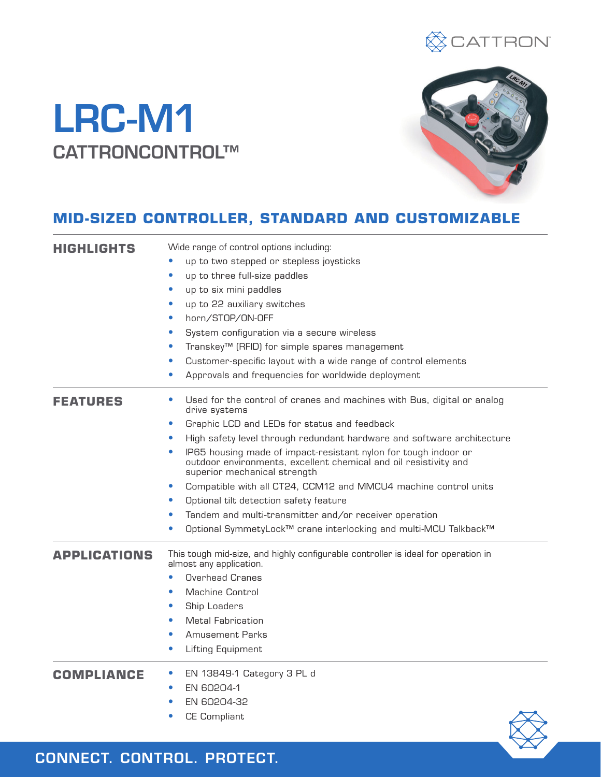

# LRC-M1 CATTRONCONTROL™



# **MID-SIZED CONTROLLER, STANDARD AND CUSTOMIZABLE**

| <b>HIGHLIGHTS</b>   | Wide range of control options including:                                                                                                                            |  |  |
|---------------------|---------------------------------------------------------------------------------------------------------------------------------------------------------------------|--|--|
|                     | up to two stepped or stepless joysticks                                                                                                                             |  |  |
|                     | up to three full-size paddles                                                                                                                                       |  |  |
|                     | up to six mini paddles                                                                                                                                              |  |  |
|                     | up to 22 auxiliary switches<br>$\bullet$                                                                                                                            |  |  |
|                     | horn/STOP/ON-OFF<br>$\bullet$                                                                                                                                       |  |  |
|                     | System configuration via a secure wireless<br>$\bullet$                                                                                                             |  |  |
|                     | Transkey <sup>™</sup> (RFID) for simple spares management<br>$\bullet$                                                                                              |  |  |
|                     | Customer-specific layout with a wide range of control elements                                                                                                      |  |  |
|                     | Approvals and frequencies for worldwide deployment                                                                                                                  |  |  |
| <b>FEATURES</b>     | Used for the control of cranes and machines with Bus, digital or analog<br>drive systems                                                                            |  |  |
|                     | Graphic LCD and LEDs for status and feedback<br>$\bullet$                                                                                                           |  |  |
|                     | High safety level through redundant hardware and software architecture<br>$\bullet$                                                                                 |  |  |
|                     | IP65 housing made of impact-resistant nylon for tough indoor or<br>outdoor environments, excellent chemical and oil resistivity and<br>superior mechanical strength |  |  |
|                     | Compatible with all CT24, CCM12 and MMCU4 machine control units<br>$\bullet$                                                                                        |  |  |
|                     | Optional tilt detection safety feature                                                                                                                              |  |  |
|                     | Tandem and multi-transmitter and/or receiver operation                                                                                                              |  |  |
|                     | Optional SymmetyLock™ crane interlocking and multi-MCU Talkback™                                                                                                    |  |  |
| <b>APPLICATIONS</b> | This tough mid-size, and highly configurable controller is ideal for operation in<br>almost any application.                                                        |  |  |
|                     | <b>Overhead Cranes</b>                                                                                                                                              |  |  |
|                     | Machine Control                                                                                                                                                     |  |  |
|                     | Ship Loaders                                                                                                                                                        |  |  |
|                     | <b>Metal Fabrication</b>                                                                                                                                            |  |  |
|                     | Amusement Parks                                                                                                                                                     |  |  |
|                     | Lifting Equipment<br>$\bullet$                                                                                                                                      |  |  |
| <b>COMPLIANCE</b>   | EN 13849-1 Category 3 PL d                                                                                                                                          |  |  |
|                     | EN 60204-1                                                                                                                                                          |  |  |
|                     | EN 60204-32                                                                                                                                                         |  |  |
|                     | <b>CE Compliant</b>                                                                                                                                                 |  |  |

CONNECT. CONTROL. PROTECT.